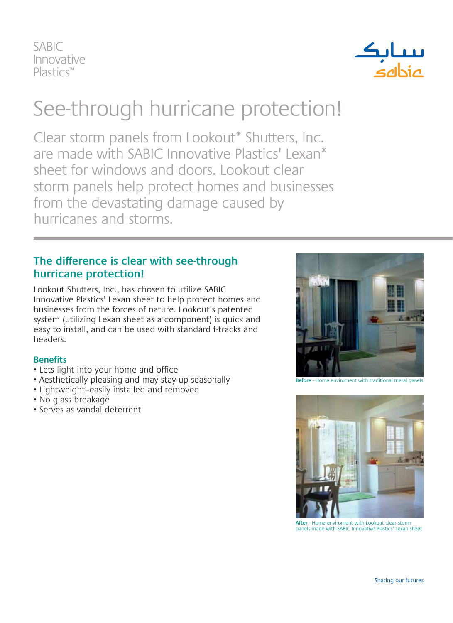**SABIC** Innovative  $Plastic<sup>TM</sup>$ 



## See-through hurricane protection!

Clear storm panels from Lookout\* Shutters, Inc. are made with SABIC Innovative Plastics' Lexan\* sheet for windows and doors. Lookout clear storm panels help protect homes and businesses from the devastating damage caused by hurricanes and storms.

## **The difference is clear with see-through hurricane protection!**

Lookout Shutters, Inc., has chosen to utilize SABIC Innovative Plastics' Lexan sheet to help protect homes and businesses from the forces of nature. Lookout's patented system (utilizing Lexan sheet as a component) is quick and easy to install, and can be used with standard f-tracks and headers.

## **Benefits**

- Lets light into your home and office
- Aesthetically pleasing and may stay-up seasonally
- Lightweight–easily installed and removed
- No glass breakage
- Serves as vandal deterrent



**Before** - Home enviroment with traditional metal panels



**After** - Home enviroment with Lookout clear storm panels made with SABIC Innovative Plastics' Lexan sheet